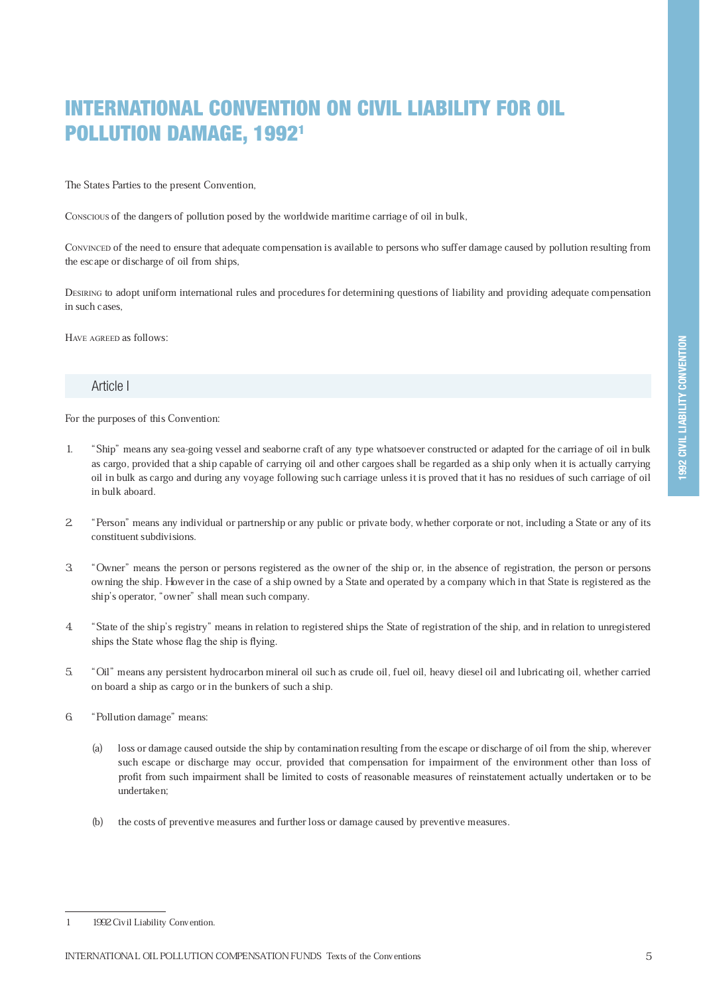# INTERNATIONAL CONVENTION ON CIVIL LIABILITY FOR OIL POLLUTION DAMAGE, 1992<sup>1</sup>

The States Parties to the present Convention,

CONSCIOUS of the dangers of pollution posed by the worldwide maritime carriage of oil in bulk,

CONVINCED of the need to ensure that adequate compensation is available to persons who suffer damage caused by pollution resulting from the escape or discharge of oil from ships,

DESIRING to adopt uniform international rules and procedures for determining questions of liability and providing adequate compensation in such cases,

HAVE AGREED as follows:

## Article I

For the purposes of this Convention:

- 1. ªShipº means any sea-going vessel and seaborne craft of any type whatsoever constructed or adapted for the carriage of oil in bulk as cargo, provided that a ship capable of carrying oil and other cargoes shall be regarded as a ship only when it is actually carrying oil in bulk as cargo and during any voyage following such carriage unless it is proved that it has no residues of such carriage of oil in bulk aboard.
- 2. ªPersonº means any individual or partnership or any public or private body, whether corporate or not, including a State or any of its constituent subdivisions.
- 3. ªOwnerº means the person or persons registered as the owner of the ship or, in the absence of registration, the person or persons owning the ship. However in the case of a ship owned by a State and operated by a company which in that State is registered as the ship's operator, "owner" shall mean such company.
- 4. ªState of the ship's registryº means in relation to registered ships the State of registration of the ship, and in relation to unregistered ships the State whose flag the ship is flying.
- 5. ªOilº means any persistent hydrocarbon mineral oil such as crude oil, fuel oil, heavy diesel oil and lubricating oil, whether carried on board a ship as cargo or in the bunkers of such a ship.
- 6. ªPollution damageº means:
	- (a) loss or damage caused outside the ship by contamination resulting from the escape or discharge of oil from the ship, wherever such escape or discharge may occur, provided that compensation for impairment of the environment other than loss of profit from such impairment shall be limited to costs of reasonable measures of reinstatement actually undertaken or to be undertaken;
	- (b) the costs of preventive measures and further loss or damage caused by preventive measures.

<sup>1992</sup> Civil Liability Convention.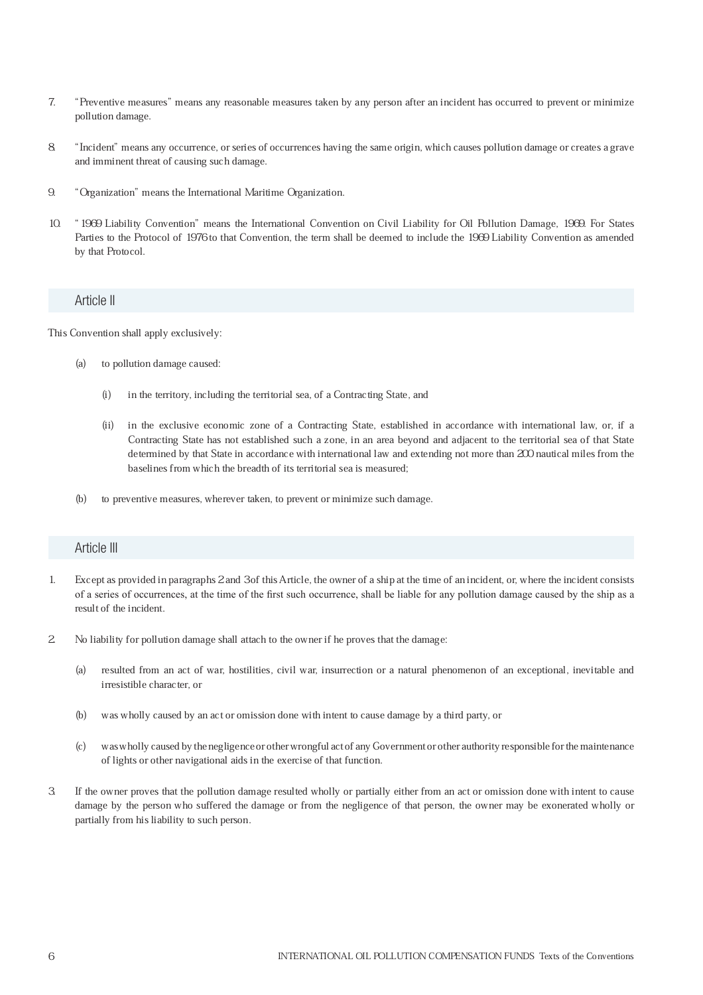- 7. "Preventive measures" means any reasonable measures taken by any person after an incident has occurred to prevent or minimize pollution damage.
- 8. ªIncidentº means any occurrence, or series of occurrences having the same origin, which causes pollution damage or creates a grave and imminent threat of causing such damage.
- 9. **Consent is a line international Maritime Organization.** 9. *n onganization.*
- 10. ª1969 Liability Conventionº means the International Convention on Civil Liability for Oil Pollution Damage, 1969. For States Parties to the Protocol of 1976 to that Convention, the term shall be deemed to include the 1969 Liability Convention as amended by that Protocol.

### Article II

This Convention shall apply exclusively:

- (a) to pollution damage caused:
	- (i) in the territory, including the territorial sea, of a Contracting State, and
	- (ii) in the exclusive economic zone of a Contracting State, established in accordance with international law, or, if a Contracting State has not established such a zone, in an area beyond and adjacent to the territorial sea of that State determined by that State in accordance with international law and extending not more than 200 nautical miles from the baselines from which the breadth of its territorial sea is measured;
- (b) to preventive measures, wherever taken, to prevent or minimize such damage.

#### Article III

- 1. Except as provided in paragraphs 2 and 3 of this Article, the owner of a ship at the time of an incident, or, where the incident consists of a series of occurrences, at the time of the first such occurrence, shall be liable for any pollution damage caused by the ship as a result of the incident.
- 2. No liability for pollution damage shall attach to the owner if he proves that the damage:
	- (a) resulted from an act of war, hostilities, civil war, insurrection or a natural phenomenon of an exceptional, inevitable and irresistible character, or
	- (b) was wholly caused by an act or omission done with intent to cause damage by a third party, or
	- (c) was wholly caused by the negligence or other wrongful act of any Government or other authority responsible for the maintenance of lights or other navigational aids in the exercise of that function.
- 3. If the owner proves that the pollution damage resulted wholly or partially either from an act or omission done with intent to cause damage by the person who suffered the damage or from the negligence of that person, the owner may be exonerated wholly or partially from his liability to such person.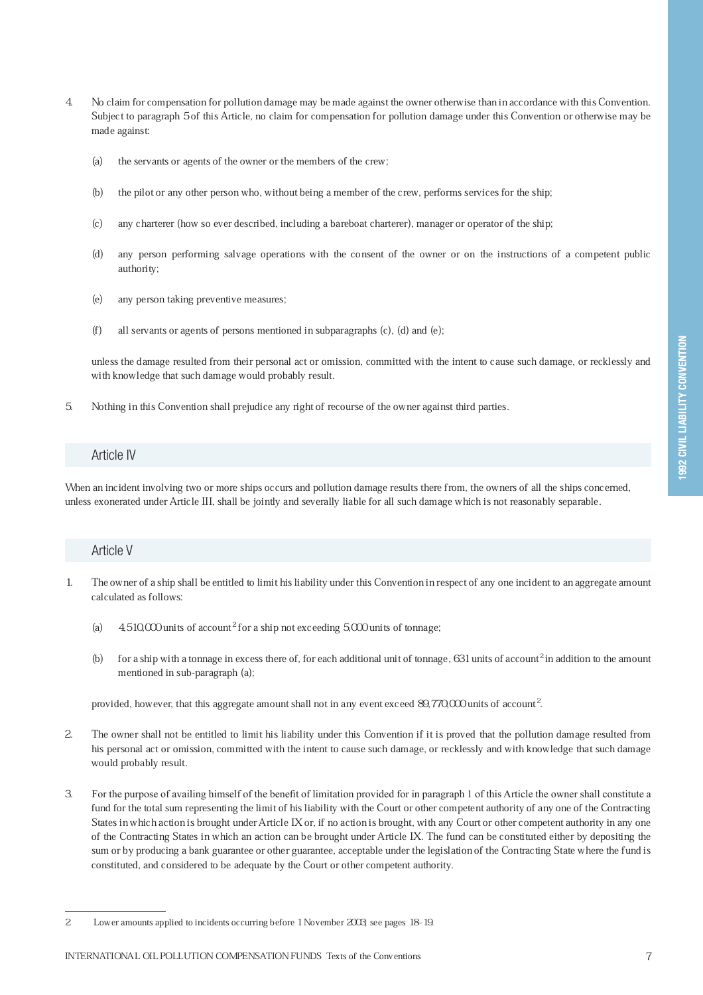- 4. No claim for compensation for pollution damage may be made against the owner otherwise than in accordance with this Convention. Subject to paragraph 5 of this Article, no claim for compensation for pollution damage under this Convention or otherwise may be made against:
	- (a) the servants or agents of the owner or the members of the crew;
	- (b) the pilot or any other person who, without being a member of the crew, performs services for the ship;
	- (c) any charterer (how so ever described, including a bareboat charterer), manager or operator of the ship;
	- (d) any person performing salvage operations with the consent of the owner or on the instructions of a competent public authority;
	- (e) any person taking preventive measures;
	- (f) all servants or agents of persons mentioned in subparagraphs (c), (d) and (e);

unless the damage resulted from their personal act or omission, committed with the intent to cause such damage, or recklessly and with knowledge that such damage would probably result.

5. Nothing in this Convention shall prejudice any right of recourse of the owner against third parties.

## Article IV

When an incident involving two or more ships occurs and pollution damage results there from, the owners of all the ships concerned, unless exonerated under Article III, shall be jointly and severally liable for all such damage which is not reasonably separable.

## Article V

- 1. The owner of a ship shall be entitled to limit his liability under this Convention in respect of any one incident to an aggregate amount calculated as follows:
	- (a)  $4,510,000$  units of account<sup>2</sup> for a ship not exceeding  $5,000$  units of tonnage;
	- (b) for a ship with a tonnage in excess there of, for each additional unit of tonnage,  $631$  units of account<sup>2</sup> in addition to the amount mentioned in sub-paragraph (a);

provided, however, that this aggregate amount shall not in any event exceed  $89,770,000$  units of account<sup>2</sup>.

- 2. The owner shall not be entitled to limit his liability under this Convention if it is proved that the pollution damage resulted from his personal act or omission, committed with the intent to cause such damage, or recklessly and with knowledge that such damage would probably result.
- 3. For the purpose of availing himself of the benefit of limitation provided for in paragraph 1 of this Article the owner shall constitute a fund for the total sum representing the limit of his liability with the Court or other competent authority of any one of the Contracting States in which action is brought under Article IX or, if no action is brought, with any Court or other competent authority in any one of the Contracting States in which an action can be brought under Article IX. The fund can be constituted either by depositing the sum or by producing a bank guarantee or other guarantee, acceptable under the legislation of the Contracting State where the fund is constituted, and considered to be adequate by the Court or other competent authority.

<sup>2</sup> Lower amounts applied to incidents occurring before 1 November 2003; see pages 18-19.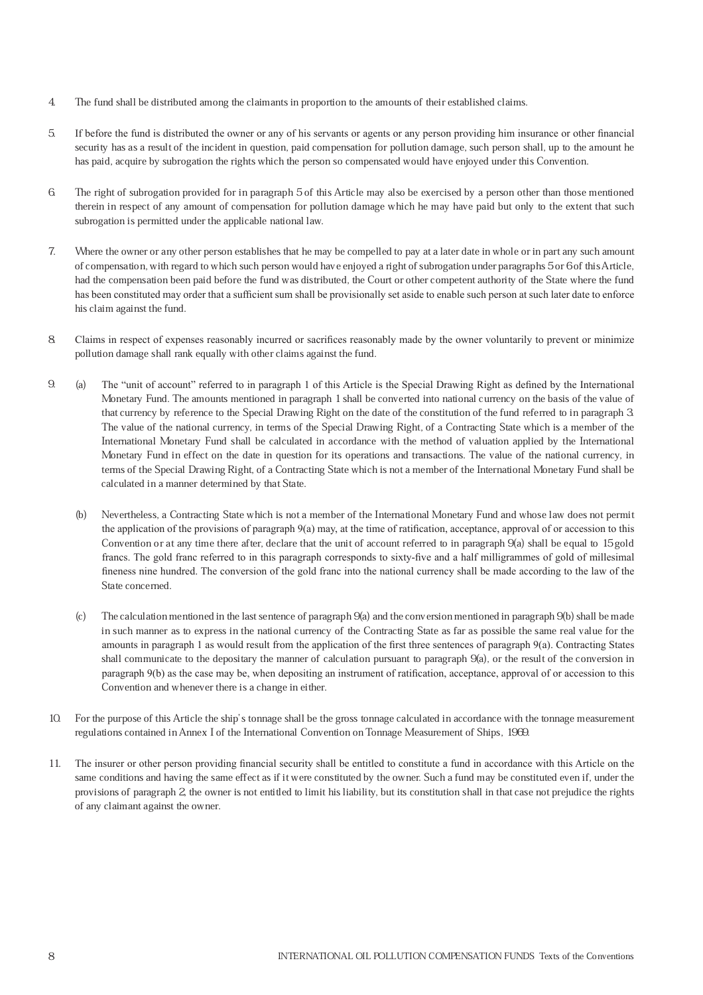- 4. The fund shall be distributed among the claimants in proportion to the amounts of their established claims.
- 5. If before the fund is distributed the owner or any of his servants or agents or any person providing him insurance or other financial security has as a result of the incident in question, paid compensation for pollution damage, such person shall, up to the amount he has paid, acquire by subrogation the rights which the person so compensated would have enjoyed under this Convention.
- 6. The right of subrogation provided for in paragraph 5 of this Article may also be exercised by a person other than those mentioned therein in respect of any amount of compensation for pollution damage which he may have paid but only to the extent that such subrogation is permitted under the applicable national law.
- 7. Where the owner or any other person establishes that he may be compelled to pay at a later date in whole or in part any such amount of compensation, with regard to which such person would have enjoyed a right of subrogation under paragraphs 5 or 6 of this Article, had the compensation been paid before the fund was distributed, the Court or other competent authority of the State where the fund has been constituted may order that a sufficient sum shall be provisionally set aside to enable such person at such later date to enforce his claim against the fund.
- 8. Claims in respect of expenses reasonably incurred or sacrifices reasonably made by the owner voluntarily to prevent or minimize pollution damage shall rank equally with other claims against the fund.
- 9. (a) The "unit of account" referred to in paragraph 1 of this Article is the Special Drawing Right as defined by the International Monetary Fund. The amounts mentioned in paragraph 1 shall be converted into national currency on the basis of the value of that currency by reference to the Special Drawing Right on the date of the constitution of the fund referred to in paragraph 3. The value of the national currency, in terms of the Special Drawing Right, of a Contracting State which is a member of the International Monetary Fund shall be calculated in accordance with the method of valuation applied by the International Monetary Fund in effect on the date in question for its operations and transactions. The value of the national currency, in terms of the Special Drawing Right, of a Contracting State which is not a member of the International Monetary Fund shall be calculated in a manner determined by that State.
	- (b) Nevertheless, a Contracting State which is not a member of the International Monetary Fund and whose law does not permit the application of the provisions of paragraph 9(a) may, at the time of ratification, acceptance, approval of or accession to this Convention or at any time there after, declare that the unit of account referred to in paragraph 9(a) shall be equal to 15 gold francs. The gold franc referred to in this paragraph corresponds to sixty-five and a half milligrammes of gold of millesimal fineness nine hundred. The conversion of the gold franc into the national currency shall be made according to the law of the State concerned.
	- (c) The calculation mentioned in the last sentence of paragraph 9(a) and the conversion mentioned in paragraph 9(b) shall be made in such manner as to express in the national currency of the Contracting State as far as possible the same real value for the amounts in paragraph 1 as would result from the application of the first three sentences of paragraph 9(a). Contracting States shall communicate to the depositary the manner of calculation pursuant to paragraph 9(a), or the result of the conversion in paragraph 9(b) as the case may be, when depositing an instrument of ratification, acceptance, approval of or accession to this Convention and whenever there is a change in either.
- 10. For the purpose of this Article the ship's tonnage shall be the gross tonnage calculated in accordance with the tonnage measurement regulations contained in Annex I of the International Convention on Tonnage Measurement of Ships, 1969.
- 11. The insurer or other person providing financial security shall be entitled to constitute a fund in accordance with this Article on the same conditions and having the same effect as if it were constituted by the owner. Such a fund may be constituted even if, under the provisions of paragraph 2, the owner is not entitled to limit his liability, but its constitution shall in that case not prejudice the rights of any claimant against the owner.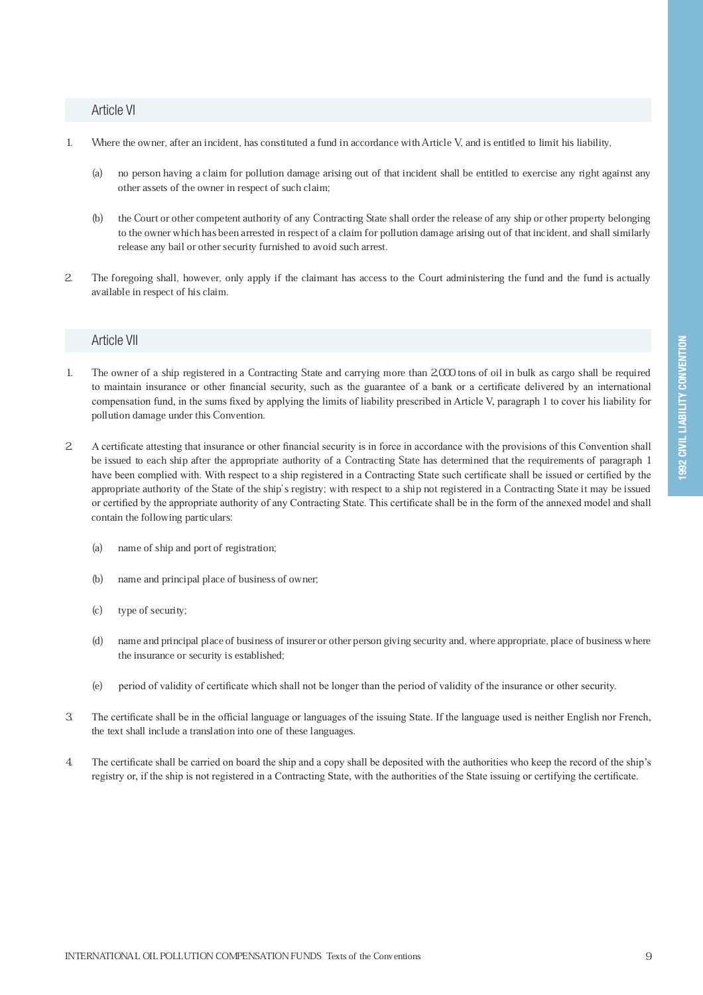## Article VI

- 1. Where the owner, after an incident, has constituted a fund in accordance with Article V, and is entitled to limit his liability,
	- (a) no person having a claim for pollution damage arising out of that incident shall be entitled to exercise any right against any other assets of the owner in respect of such claim;
	- (b) the Court or other competent authority of any Contracting State shall order the release of any ship or other property belonging to the owner which has been arrested in respect of a claim for pollution damage arising out of that incident, and shall similarly release any bail or other security furnished to avoid such arrest.
- 2. The foregoing shall, however, only apply if the claimant has access to the Court administering the fund and the fund is actually available in respect of his claim.

## Article VII

- 1. The owner of a ship registered in a Contracting State and carrying more than 2,000 tons of oil in bulk as cargo shall be required to maintain insurance or other financial security, such as the guarantee of a bank or a certificate delivered by an international compensation fund, in the sums fixed by applying the limits of liability prescribed in Article V, paragraph 1 to cover his liability for pollution damage under this Convention.
- 2. A certificate attesting that insurance or other financial security is in force in accordance with the provisions of this Convention shall be issued to each ship after the appropriate authority of a Contracting State has determined that the requirements of paragraph 1 have been complied with. With respect to a ship registered in a Contracting State such certificate shall be issued or certified by the appropriate authority of the State of the ship's registry; with respect to a ship not registered in a Contracting State it may be issued or certified by the appropriate authority of any Contracting State. This certificate shall be in the form of the annexed model and shall contain the following particulars:
	- (a) name of ship and port of registration;
	- (b) name and principal place of business of owner;
	- (c) type of security;
	- (d) name and principal place of business of insurer or other person giving security and, where appropriate, place of business where the insurance or security is established;
	- (e) period of validity of certificate which shall not be longer than the period of validity of the insurance or other security.
- 3. The certificate shall be in the official language or languages of the issuing State. If the language used is neither English nor French, the text shall include a translation into one of these languages.
- 4. The certificate shall be carried on board the ship and a copy shall be deposited with the authorities who keep the record of the ship's registry or, if the ship is not registered in a Contracting State, with the authorities of the State issuing or certifying the certificate.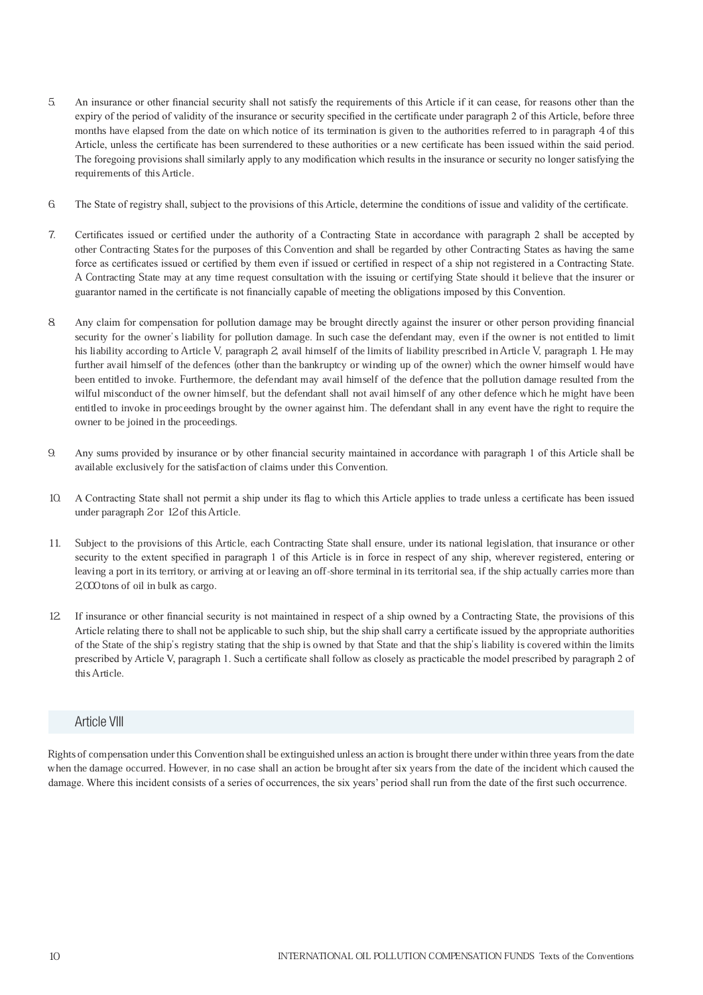- 5. An insurance or other financial security shall not satisfy the requirements of this Article if it can cease, for reasons other than the expiry of the period of validity of the insurance or security specified in the certificate under paragraph 2 of this Article, before three months have elapsed from the date on which notice of its termination is given to the authorities referred to in paragraph 4 of this Article, unless the certificate has been surrendered to these authorities or a new certificate has been issued within the said period. The foregoing provisions shall similarly apply to any modification which results in the insurance or security no longer satisfying the requirements of this Article.
- 6. The State of registry shall, subject to the provisions of this Article, determine the conditions of issue and validity of the certificate.
- 7. Certificates issued or certified under the authority of a Contracting State in accordance with paragraph 2 shall be accepted by other Contracting States for the purposes of this Convention and shall be regarded by other Contracting States as having the same force as certificates issued or certified by them even if issued or certified in respect of a ship not registered in a Contracting State. A Contracting State may at any time request consultation with the issuing or certifying State should it believe that the insurer or guarantor named in the certificate is not financially capable of meeting the obligations imposed by this Convention.
- 8. Any claim for compensation for pollution damage may be brought directly against the insurer or other person providing financial security for the owner's liability for pollution damage. In such case the defendant may, even if the owner is not entitled to limit his liability according to Article V, paragraph 2, avail himself of the limits of liability prescribed in Article V, paragraph 1. He may further avail himself of the defences (other than the bankruptcy or winding up of the owner) which the owner himself would have been entitled to invoke. Furthermore, the defendant may avail himself of the defence that the pollution damage resulted from the wilful misconduct of the owner himself, but the defendant shall not avail himself of any other defence which he might have been entitled to invoke in proceedings brought by the owner against him. The defendant shall in any event have the right to require the owner to be joined in the proceedings.
- 9. Any sums provided by insurance or by other financial security maintained in accordance with paragraph 1 of this Article shall be available exclusively for the satisfaction of claims under this Convention.
- 10. A Contracting State shall not permit a ship under its flag to which this Article applies to trade unless a certificate has been issued under paragraph 2 or 12 of this Article.
- 11. Subject to the provisions of this Article, each Contracting State shall ensure, under its national legislation, that insurance or other security to the extent specified in paragraph 1 of this Article is in force in respect of any ship, wherever registered, entering or leaving a port in its territory, or arriving at or leaving an off-shore terminal in its territorial sea, if the ship actually carries more than 2,000 tons of oil in bulk as cargo.
- 12. If insurance or other financial security is not maintained in respect of a ship owned by a Contracting State, the provisions of this Article relating there to shall not be applicable to such ship, but the ship shall carry a certificate issued by the appropriate authorities of the State of the ship's registry stating that the ship is owned by that State and that the ship's liability is covered within the limits prescribed by Article V, paragraph 1. Such a certificate shall follow as closely as practicable the model prescribed by paragraph 2 of this Article.

## Article VIII

Rights of compensation under this Convention shall be extinguished unless an action is brought there under within three years from the date when the damage occurred. However, in no case shall an action be brought after six years from the date of the incident which caused the damage. Where this incident consists of a series of occurrences, the six years' period shall run from the date of the first such occurrence.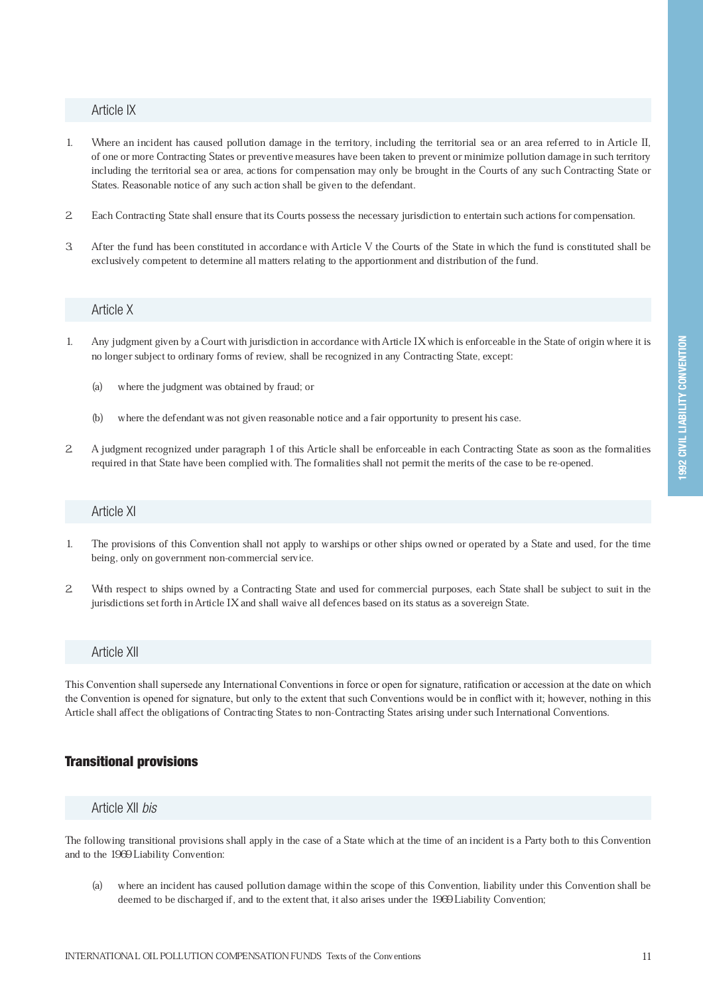## Article IX

- 1. Where an incident has caused pollution damage in the territory, including the territorial sea or an area referred to in Article II, of one or more Contracting States or preventive measures have been taken to prevent or minimize pollution damage in such territory including the territorial sea or area, actions for compensation may only be brought in the Courts of any such Contracting State or States. Reasonable notice of any such action shall be given to the defendant.
- 2. Each Contracting State shall ensure that its Courts possess the necessary jurisdiction to entertain such actions for compensation.
- 3. After the fund has been constituted in accordance with Article V the Courts of the State in which the fund is constituted shall be exclusively competent to determine all matters relating to the apportionment and distribution of the fund.

## Article X

- 1. Any judgment given by a Court with jurisdiction in accordance with Article IX which is enforceable in the State of origin where it is no longer subject to ordinary forms of review, shall be recognized in any Contracting State, except:
	- (a) where the judgment was obtained by fraud; or
	- (b) where the defendant was not given reasonable notice and a fair opportunity to present his case.
- 2. A judgment recognized under paragraph 1 of this Article shall be enforceable in each Contracting State as soon as the formalities required in that State have been complied with. The formalities shall not permit the merits of the case to be re-opened.

## Article XI

- 1. The provisions of this Convention shall not apply to warships or other ships owned or operated by a State and used, for the time being, only on government non-commercial service.
- 2. With respect to ships owned by a Contracting State and used for commercial purposes, each State shall be subject to suit in the jurisdictions set forth in Article IX and shall waive all defences based on its status as a sovereign State.

#### Article XII

This Convention shall supersede any International Conventions in force or open for signature, ratification or accession at the date on which the Convention is opened for signature, but only to the extent that such Conventions would be in conflict with it; however, nothing in this Article shall affect the obligations of Contracting States to non-Contracting States arising under such International Conventions.

## Transitional provisions

## Article XII bis

The following transitional provisions shall apply in the case of a State which at the time of an incident is a Party both to this Convention and to the 1969 Liability Convention:

(a) where an incident has caused pollution damage within the scope of this Convention, liability under this Convention shall be deemed to be discharged if, and to the extent that, it also arises under the 1969 Liability Convention;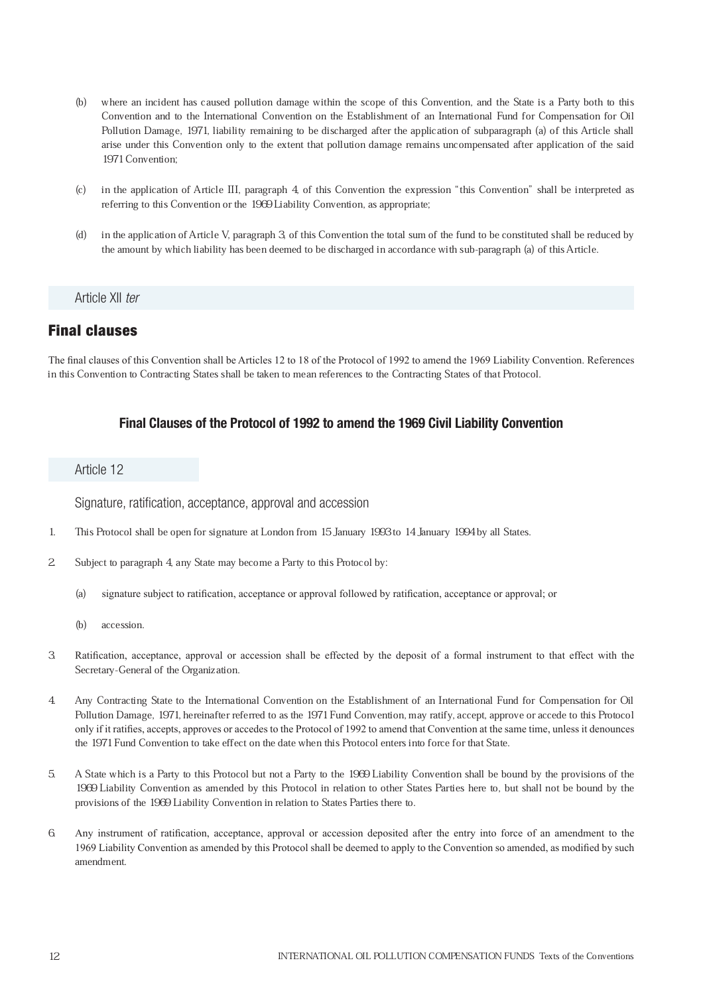- (b) where an incident has caused pollution damage within the scope of this Convention, and the State is a Party both to this Convention and to the International Convention on the Establishment of an International Fund for Compensation for Oil Pollution Damage, 1971, liability remaining to be discharged after the application of subparagraph (a) of this Article shall arise under this Convention only to the extent that pollution damage remains uncompensated after application of the said 1971 Convention;
- (c) in the application of Article III, paragraph 4, of this Convention the expression ªthis Conventionº shall be interpreted as referring to this Convention or the 1969 Liability Convention, as appropriate;
- (d) in the application of Article V, paragraph 3, of this Convention the total sum of the fund to be constituted shall be reduced by the amount by which liability has been deemed to be discharged in accordance with sub-paragraph (a) of this Article.

## Article XII ter

## Final clauses

The final clauses of this Convention shall be Articles 12 to 18 of the Protocol of 1992 to amend the 1969 Liability Convention. References in this Convention to Contracting States shall be taken to mean references to the Contracting States of that Protocol.

## **Final Clauses of the Protocol of 1992 to amend the 1969 Civil Liability Convention**

## Article 12

Signature, ratification, acceptance, approval and accession

- 1. This Protocol shall be open for signature at London from 15 January 1993 to 14 January 1994 by all States.
- 2. Subject to paragraph 4, any State may become a Party to this Protocol by:
	- (a) signature subject to ratification, acceptance or approval followed by ratification, acceptance or approval; or
	- (b) accession.
- 3. Ratification, acceptance, approval or accession shall be effected by the deposit of a formal instrument to that effect with the Secretary-General of the Organization.
- 4. Any Contracting State to the International Convention on the Establishment of an International Fund for Compensation for Oil Pollution Damage, 1971, hereinafter referred to as the 1971 Fund Convention, may ratify, accept, approve or accede to this Protocol only if it ratifies, accepts, approves or accedes to the Protocol of 1992 to amend that Convention at the same time, unless it denounces the 1971 Fund Convention to take effect on the date when this Protocol enters into force for that State.
- 5. A State which is a Party to this Protocol but not a Party to the 1969 Liability Convention shall be bound by the provisions of the 1969 Liability Convention as amended by this Protocol in relation to other States Parties here to, but shall not be bound by the provisions of the 1969 Liability Convention in relation to States Parties there to.
- 6. Any instrument of ratification, acceptance, approval or accession deposited after the entry into force of an amendment to the 1969 Liability Convention as amended by this Protocol shall be deemed to apply to the Convention so amended, as modified by such amendment.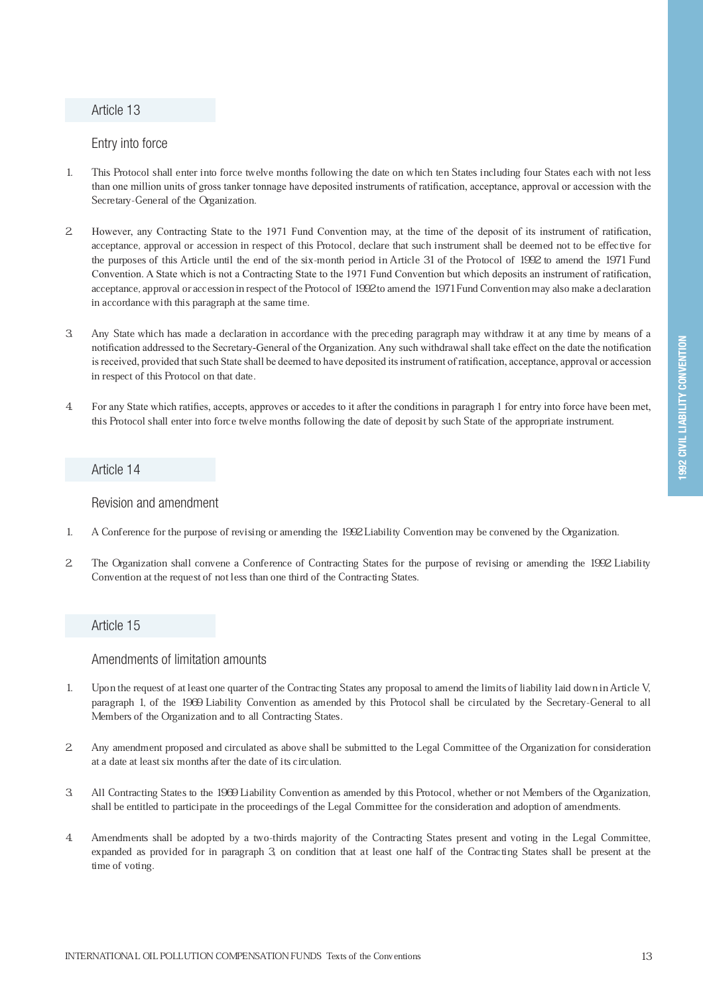Entry into force

- 1. This Protocol shall enter into force twelve months following the date on which ten States including four States each with not less than one million units of gross tanker tonnage have deposited instruments of ratification, acceptance, approval or accession with the Secretary-General of the Organization.
- 2. However, any Contracting State to the 1971 Fund Convention may, at the time of the deposit of its instrument of ratification, acceptance, approval or accession in respect of this Protocol, declare that such instrument shall be deemed not to be effective for the purposes of this Article until the end of the six-month period in Article 31 of the Protocol of 1992 to amend the 1971 Fund Convention. A State which is not a Contracting State to the 1971 Fund Convention but which deposits an instrument of ratification, acceptance, approval or accession in respect of the Protocol of 1992 to amend the 1971 Fund Convention may also make a declaration in accordance with this paragraph at the same time.
- 3. Any State which has made a declaration in accordance with the preceding paragraph may withdraw it at any time by means of a notification addressed to the Secretary-General of the Organization. Any such withdrawal shall take effect on the date the notification is received, provided that such State shall be deemed to have deposited its instrument of ratification, acceptance, approval or accession in respect of this Protocol on that date.
- 4. For any State which ratifies, accepts, approves or accedes to it after the conditions in paragraph 1 for entry into force have been met, this Protocol shall enter into force twelve months following the date of deposit by such State of the appropriate instrument.

## Article 14

Revision and amendment

- 1. A Conference for the purpose of revising or amending the 1992 Liability Convention may be convened by the Organization.
- 2. The Organization shall convene a Conference of Contracting States for the purpose of revising or amending the 1992 Liability Convention at the request of not less than one third of the Contracting States.

### Article 15

Amendments of limitation amounts

- 1. Upon the request of at least one quarter of the Contracting States any proposal to amend the limits of liability laid down in Article V, paragraph 1, of the 1969 Liability Convention as amended by this Protocol shall be circulated by the Secretary-General to all Members of the Organization and to all Contracting States.
- 2. Any amendment proposed and circulated as above shall be submitted to the Legal Committee of the Organization for consideration at a date at least six months after the date of its circulation.
- 3. All Contracting States to the 1969 Liability Convention as amended by this Protocol, whether or not Members of the Organization, shall be entitled to participate in the proceedings of the Legal Committee for the consideration and adoption of amendments.
- 4. Amendments shall be adopted by a two-thirds majority of the Contracting States present and voting in the Legal Committee, expanded as provided for in paragraph 3, on condition that at least one half of the Contracting States shall be present at the time of voting.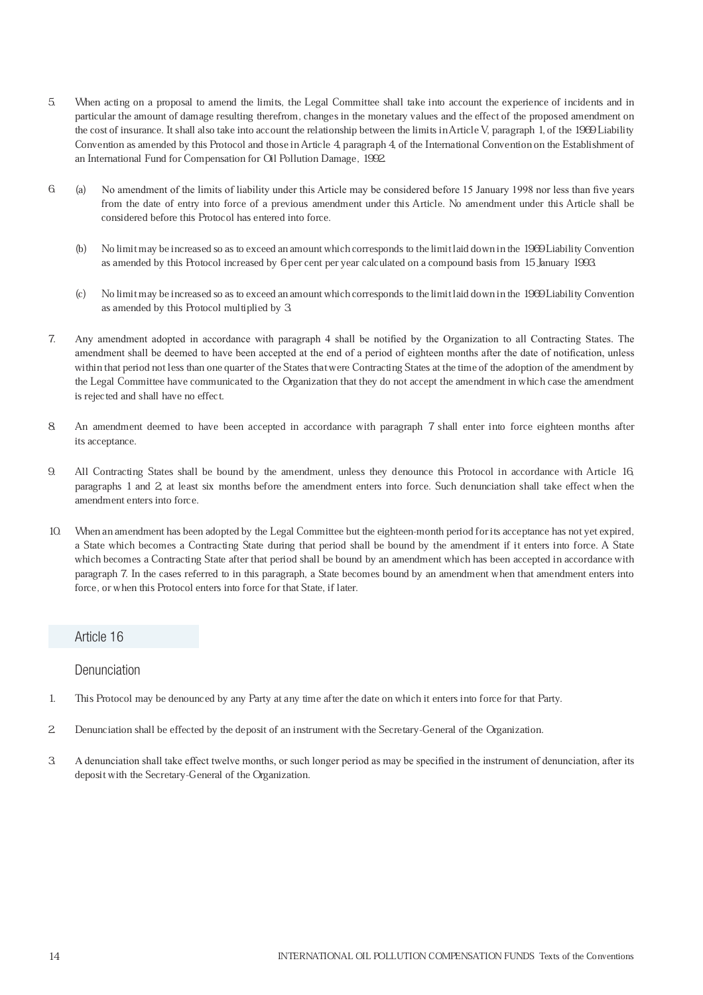- 5. When acting on a proposal to amend the limits, the Legal Committee shall take into account the experience of incidents and in particular the amount of damage resulting therefrom, changes in the monetary values and the effect of the proposed amendment on the cost of insurance. It shall also take into account the relationship between the limits in Article V, paragraph 1, of the 1969 Liability Convention as amended by this Protocol and those in Article 4, paragraph 4, of the International Convention on the Establishment of an International Fund for Compensation for Oil Pollution Damage, 1992.
- (a) No amendment of the limits of liability under this Article may be considered before 15 January 1998 nor less than five years from the date of entry into force of a previous amendment under this Article. No amendment under this Article shall be considered before this Protocol has entered into force. 6.
	- (b) No limit may be increased so as to exceed an amount which corresponds to the limit laid down in the 1969 Liability Convention as amended by this Protocol increased by 6 per cent per year calculated on a compound basis from 15 January 1993.
	- (c) No limit may be increased so as to exceed an amount which corresponds to the limit laid down in the 1969 Liability Convention as amended by this Protocol multiplied by 3.
- 7. Any amendment adopted in accordance with paragraph 4 shall be notified by the Organization to all Contracting States. The amendment shall be deemed to have been accepted at the end of a period of eighteen months after the date of notification, unless within that period not less than one quarter of the States that were Contracting States at the time of the adoption of the amendment by the Legal Committee have communicated to the Organization that they do not accept the amendment in which case the amendment is rejected and shall have no effect.
- 8. An amendment deemed to have been accepted in accordance with paragraph 7 shall enter into force eighteen months after its acceptance.
- 9. All Contracting States shall be bound by the amendment, unless they denounce this Protocol in accordance with Article 16, paragraphs 1 and 2, at least six months before the amendment enters into force. Such denunciation shall take effect when the amendment enters into force.
- 10. When an amendment has been adopted by the Legal Committee but the eighteen-month period for its acceptance has not yet expired, a State which becomes a Contracting State during that period shall be bound by the amendment if it enters into force. A State which becomes a Contracting State after that period shall be bound by an amendment which has been accepted in accordance with paragraph 7. In the cases referred to in this paragraph, a State becomes bound by an amendment when that amendment enters into force, or when this Protocol enters into force for that State, if later.

**Denunciation** 

- 1. This Protocol may be denounced by any Party at any time after the date on which it enters into force for that Party.
- 2. Denunciation shall be effected by the deposit of an instrument with the Secretary-General of the Organization.
- 3. A denunciation shall take effect twelve months, or such longer period as may be specified in the instrument of denunciation, after its deposit with the Secretary-General of the Organization.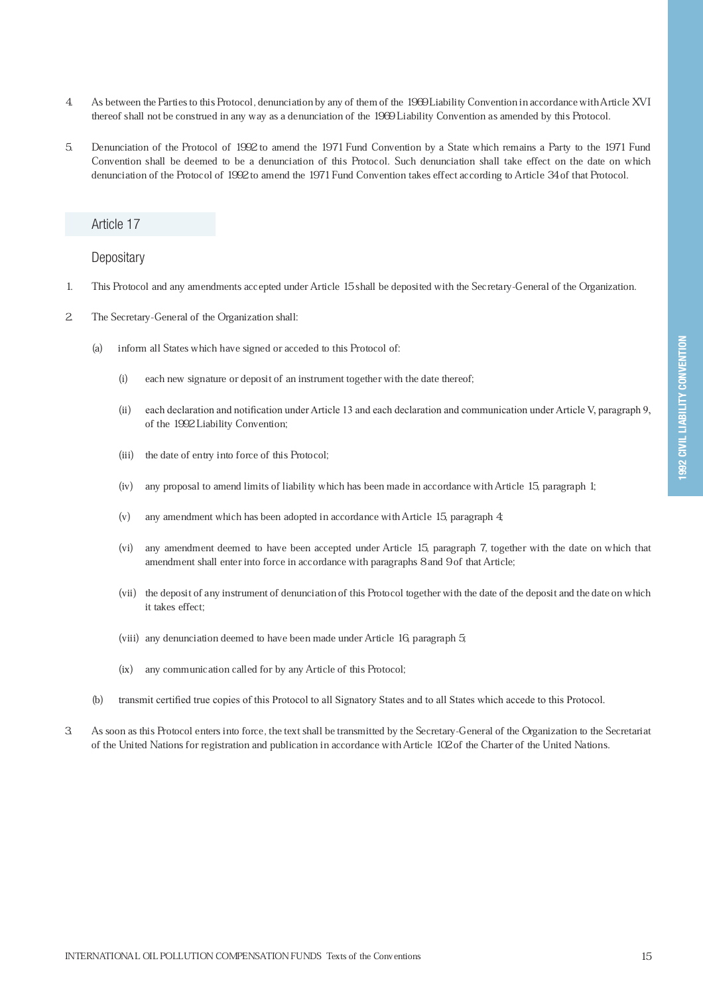- 4. As between the Parties to this Protocol, denunciation by any of them of the 1969 Liability Convention in accordance with Article XVI thereof shall not be construed in any way as a denunciation of the 1969 Liability Convention as amended by this Protocol.
- 5. Denunciation of the Protocol of 1992 to amend the 1971 Fund Convention by a State which remains a Party to the 1971 Fund Convention shall be deemed to be a denunciation of this Protocol. Such denunciation shall take effect on the date on which denunciation of the Protocol of 1992 to amend the 1971 Fund Convention takes effect according to Article 34 of that Protocol.

**Depositary** 

- 1. This Protocol and any amendments accepted under Article 15 shall be deposited with the Secretary-General of the Organization.
- 2. The Secretary-General of the Organization shall:
	- (a) inform all States which have signed or acceded to this Protocol of:
		- (i) each new signature or deposit of an instrument together with the date thereof;
		- (ii) each declaration and notification under Article 13 and each declaration and communication under Article V, paragraph 9, of the 1992 Liability Convention;
		- (iii) the date of entry into force of this Protocol;
		- (iv) any proposal to amend limits of liability which has been made in accordance with Article 15, paragraph 1;
		- (v) any amendment which has been adopted in accordance with Article 15, paragraph  $4$ ;
		- (vi) any amendment deemed to have been accepted under Article 15, paragraph 7, together with the date on which that amendment shall enter into force in accordance with paragraphs 8 and 9 of that Article;
		- (vii) the deposit of any instrument of denunciation of this Protocol together with the date of the deposit and the date on which it takes effect;
		- (viii) any denunciation deemed to have been made under Article 16, paragraph 5;
		- (ix) any communication called for by any Article of this Protocol;
	- (b) transmit certified true copies of this Protocol to all Signatory States and to all States which accede to this Protocol.
- 3. As soon as this Protocol enters into force, the text shall be transmitted by the Secretary-General of the Organization to the Secretariat of the United Nations for registration and publication in accordance with Article 102 of the Charter of the United Nations.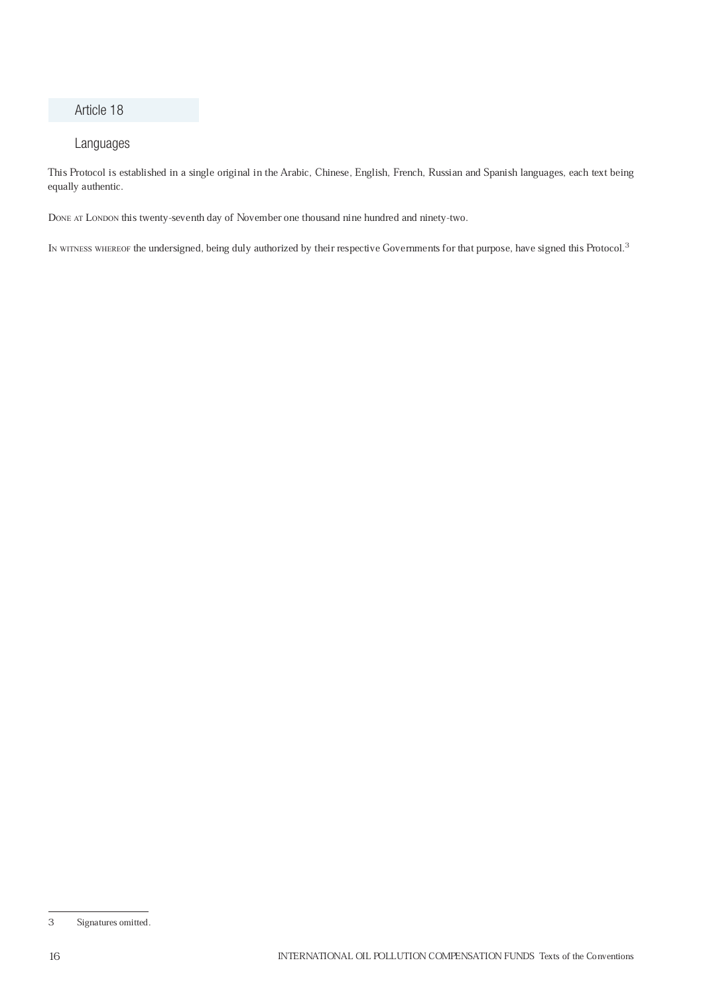Languages

This Protocol is established in a single original in the Arabic, Chinese, English, French, Russian and Spanish languages, each text being equally authentic.

DONE AT LONDON this twenty-seventh day of November one thousand nine hundred and ninety-two.

IN WITNESS WHEREOF the undersigned, being duly authorized by their respective Governments for that purpose, have signed this Protocol.<sup>3</sup>

<sup>3</sup> Signatures omitted.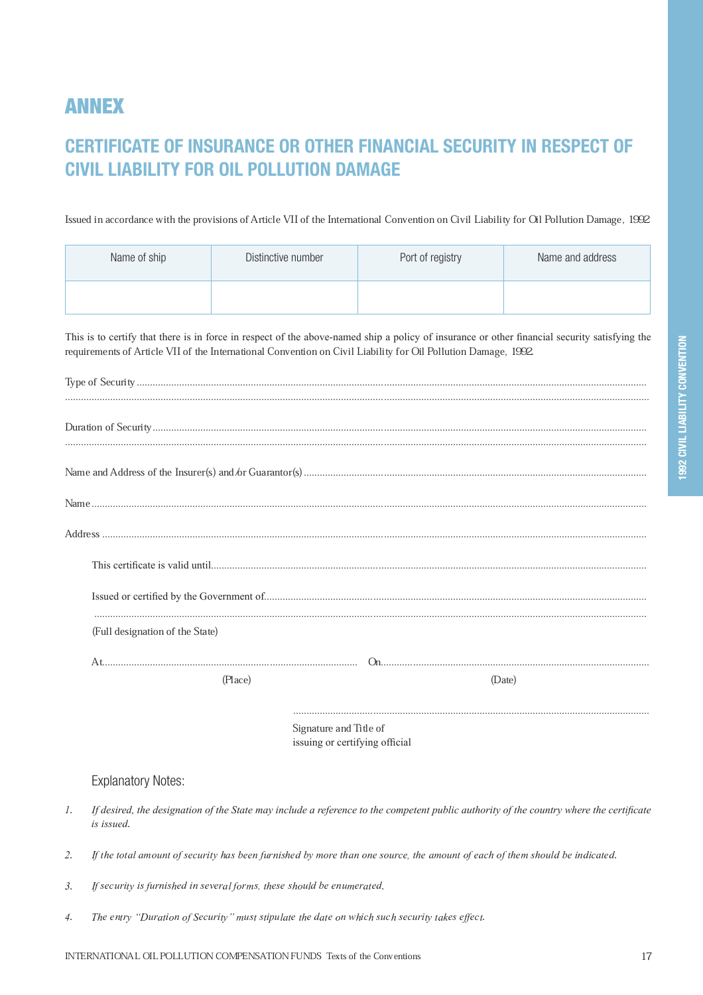# **CERTIFICATE OF INSURANCE OR OTHER FINANCIAL SECURITY IN RESPECT OF CIVIL LIABILITY FOR OIL POLLUTION DAMAGE**

Issued in accordance with the provisions of Article VII of the International Convention on Civil Liability for Oil Pollution Damage, 1992

| Name of ship | Distinctive number | Port of registry | Name and address |
|--------------|--------------------|------------------|------------------|
|              |                    |                  |                  |

This is to certify that there is in force in respect of the above-named ship a policy of insurance or other financial security satisfying the requirements of Article VII of the International Convention on Civil Liability for Oil Pollution Damage, 1992.

| (Full designation of the State) |                                                          |
|---------------------------------|----------------------------------------------------------|
|                                 |                                                          |
| (Place)                         | (Date)                                                   |
|                                 | Signature and Title of<br>issuing or certifying official |

## **Explanatory Notes:**

- $\overline{L}$ If desired, the designation of the State may include a reference to the competent public authority of the country where the certificate is issued.
- If the total amount of security has been furnished by more than one source, the amount of each of them should be indicated. 2.
- $\overline{3}$ . If security is furnished in several forms, these should be enumerated.
- $\overline{4}$ . The entry "Duration of Security" must stipulate the date on which such security takes effect.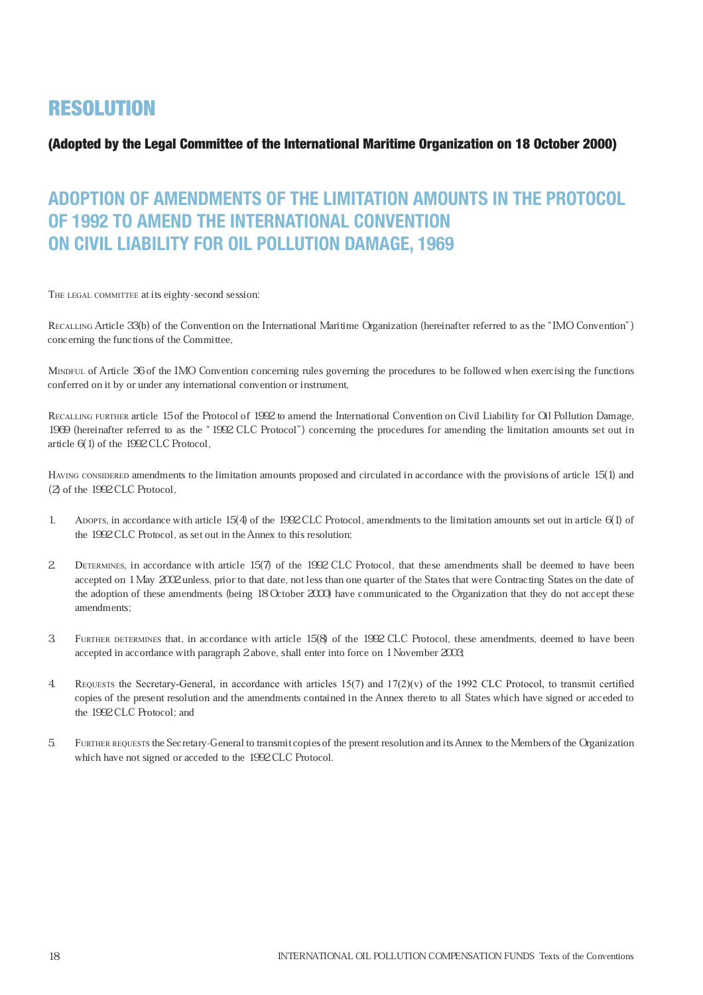# RESOLUTION

## (Adopted by the Legal Committee of the International Maritime Organization on 18 October 2000)

## **ADOPTION OF AMENDMENTS OF THE LIMITATION AMOUNTS IN THE PROTOCOL OF 1992 TO AMEND THE INTERNATIONAL CONVENTION ON CIVIL LIABILITY FOR OIL POLLUTION DAMAGE, 1969**

THE LEGAL COMMITTEE at its eighty-second session:

RECALLING Article 33(b) of the Convention on the International Maritime Organization (hereinafter referred to as the ªIMO Conventionº) concerning the functions of the Committee,

MINDFUL of Article 36 of the IMO Convention concerning rules governing the procedures to be followed when exercising the functions conferred on it by or under any international convention or instrument,

RECALLING FURTHER article 15 of the Protocol of 1992 to amend the International Convention on Civil Liability for Oil Pollution Damage, 1969 (hereinafter referred to as the ª1992 CLC Protocolº) concerning the procedures for amending the limitation amounts set out in article 6(1) of the 1992 CLC Protocol,

HAVING CONSIDERED amendments to the limitation amounts proposed and circulated in accordance with the provisions of article 15(1) and (2) of the 1992 CLC Protocol,

- 1. Aborts, in accordance with article  $15(4)$  of the 1992 CLC Protocol, amendments to the limitation amounts set out in article  $6(1)$  of the 1992 CLC Protocol, as set out in the Annex to this resolution;
- 2. DETERMINES, in accordance with article  $15(7)$  of the 1992 CLC Protocol, that these amendments shall be deemed to have been accepted on 1 May 2002 unless, prior to that date, not less than one quarter of the States that were Contracting States on the date of the adoption of these amendments (being 18 October 2000) have communicated to the Organization that they do not accept these amendments;
- 3 FURTHER DETERMINES that, in accordance with article 15(8) of the 1992 CLC Protocol, these amendments, deemed to have been accepted in accordance with paragraph 2 above, shall enter into force on 1 November 2003;
- 4. REQUESTS the Secretary-General, in accordance with articles 15(7) and 17(2)(v) of the 1992 CLC Protocol, to transmit certified copies of the present resolution and the amendments contained in the Annex thereto to all States which have signed or acceded to the 1992 CLC Protocol; and
- 5. FURTHER REQUESTS the Secretary-General to transmit copies of the present resolution and its Annex to the Members of the Organization which have not signed or acceded to the 1992 CLC Protocol.